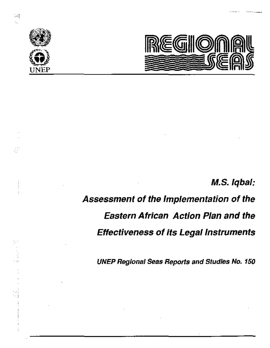



# M.S. Iqbal:

# Assessment of the Implementation of the Eastern African Action Plan and the Effectiveness of its Legal Instruments

**UNEP Regional Seas Reports and Studies No. 150** 

ď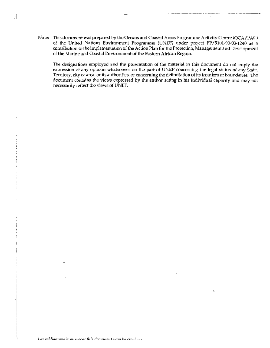Note: This document was prepared by the Occans and Coastal Areas Programme Activity Centre (OCA/PAC) of the United Nations Euvironment Programme (UNEP) under project FP/5101-90-03-1240 as a contribution to the implementation of the Action Plan for the Protection, Management and Development of the Matine and Coastal Environment of the Eastern African Region.

Ã

The designations employed and the presentation of the material in this document do not imply the expression of any opinion whatsoever on the part of UNEP concerning the legal status of any State, Territory, city or area, or its authorities, or concerning the delimitation of its fromiers or boundaries. The document contains the views expressed by the author acting in his individual capacity and may not necessarily reflect the views of UNEP.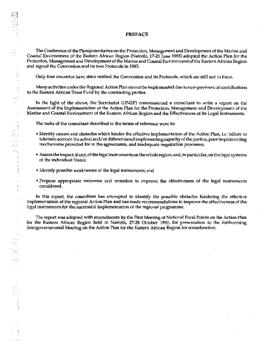## **PREPACE**

The Conference of the Plenipotentiaries on the Protection, Management and Development of the Marine and Coastal Environment of the Eastern African Region (Nairobi, 17-21 June 1985) adopted the Action Plan for the Protection, Management and Development of the Marine and Coastal Environment of the Eastern African Region and signed the Convention and its two Protocols in 1985.

Only four countries have since ratified the Convention and its Protocols, which are still not in force.

Many activities under the Regional Action Plan cannot be implemented due to non-payment of contributions to the Eastern African Trust Fund by the contracting parties.

In the light of the above, the Secretariat (UNEP) commissioned a consultant to write a report on the Assessment of the Implementation of the Action Plan for the Protection, Management and Development of the Marine and Coastal Environment of the Eastern African Region and the Effectiveness of its Legal Instruments.

The tasks of the consultant described in the terms of reference were to:

- Identify causes and obstacles which hinder the effective implementation of the Action Plan, i.e. failure to take into account the actual and/or differentiated implementing capacity of the parties, poor implementing mechanisms provided for in the agreements, and inadequate negotiation processes;
- . Assess the impact, if any, of the legal instruments on the whole region, and, in particular, on the legal systems of the individual States;
- Identify possible weaknesses of the legal instruments; and

nė

мņ.  $\mathcal{P}$  .

ur f

 $\ddotsc$ 

ni pr th C

 $\cdot$ 

Propose appropriate measures and remedies to improve the effectiveness of the legal instruments considered.

In this report, the consultant has attempted to identify the possible obstacles hindering the effective implementation of the regional Action Pian and has made recommendations to improve the effectiveness of the legal instruments for the successful implementation of the regional programme.

The report was adopted with atnendments by the First Meeting of National Focal Points on the Action Plan for the Eastern African Region held in Nairobi, 27-28 October 1992, for presentation to the forthcoming Intergovernmental Meeting on the Action Plan for the Eastern African Region for consideration.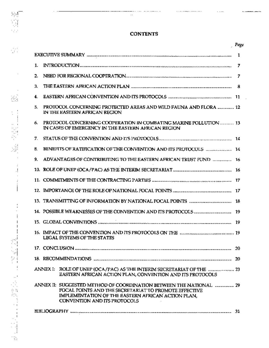# **CONTENTS**

...................

-----

 $\ddot{\phantom{a}}$ 

N.

غ

 $\frac{1}{\sqrt{2}}\frac{1}{2}$ 

 $\cdot$ 

 $\cdot$  $\cdot!$  $\cdot$ 

 $\ddot{i}$ 

 $\frac{1}{2}$ 

÷  $\overline{\phantom{a}}$  $\overline{1}$ 

医白细胞的 医血管麻醉 医生物

iy.

 $\dots$ 

 $\ddotsc$ 

l,

 $\overline{\phantom{a}}$ 

 $\frac{1}{2}$ 

|                                                                                                                                                                                                                    | , Page |  |  |  |
|--------------------------------------------------------------------------------------------------------------------------------------------------------------------------------------------------------------------|--------|--|--|--|
|                                                                                                                                                                                                                    | 1      |  |  |  |
| 1.                                                                                                                                                                                                                 | 7      |  |  |  |
| $\overline{2}$                                                                                                                                                                                                     |        |  |  |  |
| 3.                                                                                                                                                                                                                 |        |  |  |  |
| 4.                                                                                                                                                                                                                 |        |  |  |  |
| 5.<br>PROTOCOL CONCERNING PROTECTED AREAS AND WILD FAUNA AND FLORA  12<br>IN THE EASTERN AFRICAN REGION                                                                                                            |        |  |  |  |
| 6.<br>PROTOCOL CONCERNING COOPERATION IN COMBATING MARINE POLLUTION  13<br>IN CASES OF EMERGENCY IN THE EASTERN AFRICAN REGION                                                                                     |        |  |  |  |
| 7.                                                                                                                                                                                                                 |        |  |  |  |
| BENEFITS OF RATIFICATION OF THE CONVENTION AND ITS PROTOCOLS  14<br>8.                                                                                                                                             |        |  |  |  |
| 9.<br>ADVANTAGES OF CONTRIBUTING TO THE EASTERN AFRICAN TRUST FUND  16                                                                                                                                             |        |  |  |  |
|                                                                                                                                                                                                                    |        |  |  |  |
|                                                                                                                                                                                                                    |        |  |  |  |
|                                                                                                                                                                                                                    |        |  |  |  |
|                                                                                                                                                                                                                    |        |  |  |  |
|                                                                                                                                                                                                                    |        |  |  |  |
|                                                                                                                                                                                                                    |        |  |  |  |
| <b>LEGAL SYSTEMS OF THE STATES</b>                                                                                                                                                                                 |        |  |  |  |
|                                                                                                                                                                                                                    | 20     |  |  |  |
|                                                                                                                                                                                                                    |        |  |  |  |
| ROLE OF UNEP (OCA/PAC) AS THE INTERIM SECRETARIAT OF THE manufacturery 23<br>ANNEX I:<br>EASTERN AFRICAN ACTION PLAN, CONVENTION AND ITS PROTOCOLS                                                                 |        |  |  |  |
| ANNEX II: SUGGESTED METHOD OF COORDINATION BETWEEN THE NATIONAL  29<br>FOCAL POINTS AND THE SECRETARIAT TO PROMOTE EFFECTIVE<br>IMPLEMENTATION OF THE EASTERN AFRICAN ACTION PLAN.<br>CONVENTION AND ITS PROTOCOLS |        |  |  |  |
| 31                                                                                                                                                                                                                 |        |  |  |  |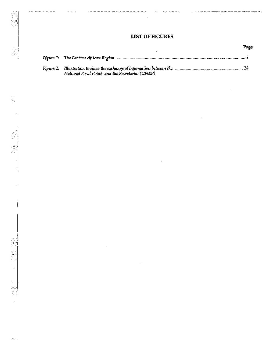÷

 $\ddot{\phantom{a}}$ 

 $\cdot$ 

 $\alpha$  . The second contract  $\alpha$ 

 $\label{eq:1} \begin{split} \mathcal{L}^{(1)}(t) & \to \mathcal{L}^{(1)}(t) + \mathcal{L}^{(2)}(t) + \mathcal{L}^{(1)}(t) + \mathcal{L}^{(2)}(t) + \mathcal{L}^{(2)}(t) + \mathcal{L}^{(1)}(t) + \mathcal{L}^{(1)}(t) + \mathcal{L}^{(2)}(t) + \mathcal{L}^{(2)}(t) + \mathcal{L}^{(2)}(t) + \mathcal{L}^{(2)}(t) + \mathcal{L}^{(2)}(t) + \mathcal{L}^{(2)}(t) + \mathcal{L}^{(2)}$ 

J.

l,

Page

| Figure 1: The Eastern African Region manumental communications of the communication communication of                                                               |
|--------------------------------------------------------------------------------------------------------------------------------------------------------------------|
| Figure 2: Illustration to show the exchange of information between the <i>manumanal manumanal manumanal</i> 18<br>National Focal Points and the Secretariat (UNEP) |

. . . . . . . . . . . . . . . . .

Ŕ

 $\frac{1}{3}$ 

 $\sim$   $\sim$   $\sim$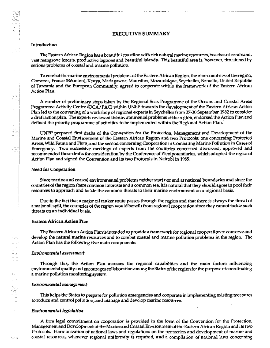## **EXECUTIVE SUMMARY**

#### Introduction

The Eastern African Region has a beautiful coastline with rich natural marine resources, beaches of coral sand, vast mangrove forests, productive lagoons and beautiful islands. This beautiful area is, however, threatened by serious problems of coastal and marine pollution.

To combat the marine environmental problems of the Eastern African Region, the nine countries of the region, Comoros, France (Réunion), Kenya, Madagascar, Mauritius, Mozambique, Seychelles, Somalia, United Republic of Tanzania and the European Community, agreed to cooperate within the framework of the Eastern African Action Plan.

A number of preliminary steps taken by the Regional Seas Programme of the Oceans and Coastal Areas Programme Activity Centre (OCA/PAC) within UNEP towards the development of the Eastern African Action Plan led to the convening of a workshop of regional experts in Seychelles from 27-30 September 1982 to consider a draft action plan. The experts reviewed the environmental problems of the region, endorsed the Action Plan and defined the priority programme of activities to be implemented within the Regional Action Plan.

UNEP prepared first drafts of the Convention for the Protection, Management and Development of the Marine and Coastal Environment of the Eastern African Region and two Protocols: one concerning Protected Areas, Wild Fauna and Flora, and the second concerning Cooperation in Combating Marine Pollution in Cases of Emergency. Two successive meetings of experts from the countries concerned discussed, approved and recommended these drafts for consideration by the Conference of Plenipotentiaries, which adopted the regional Action Plan and signed the Convention and its two Protocols in Nairobi in 1985.

#### Need for Cooperation

Since marine and coastal environmental problems neither start nor end at national boundaries and since the countries of the region share common interests and a common sea, it is natural that they should agree to pool their resources to approach and tackle the common threats to their marine environment on a regional basis.

Due to the fact that a major oil tanker route passes through the region and that there is always the threat of a major oil spill, the countries of the region would benefit from regional cooperation since they cannot tackle such threats on an individual basis.

#### **Eastern African Action Plan**

The Eastern African Action Plan is intended to provide a framework for regional cooperation to conserve and develop the natural marine resources and to combat coastal and marine polintion problems in the region. The Action Plan has the following five main components:

#### Environmental assessment

Through this, the Action Plan assesses the regional capabilities and the main factors influencing environmental quality and encourages collaboration among the States of the region for the purpose of coordinating a marine pollution monitoring system.

#### **Environmental management**

This helps the States to prepare for pollution emergencies and cooperate in implementing existing measures to reduce and control pollution, and manage and develop marine resources.

#### Environmental legislation

A firm legal commitment on cooperation is provided in the form of the Convention for the Protection, Management and Development of the Marine and Coastal Environment of the Eastern African Region and its two Protocols. Harmonization of national laws and regulations on the protection and development of marine and coastal resources, whenever regional uniformity is required, and a compilation of national laws concerning

102.20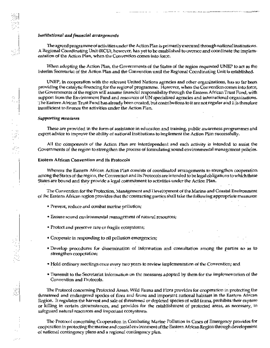#### Institutional and financial arrangements

The agreed programme of activities under the Action Plan is primarily executed through national institutions. A Regional Coordinating Unit (RCU), however, has yet to be established to oversee and coordinate the implementation of the Action Plan, when the Convention comes into force.

When adopting the Action Plan, the Governments of the States of the region requested UNEP to act as the Interim Secretarial of the Action Plan and the Convention until the Regional Coordinating Unit is established.

UNEP, in cooperation with the relevant United Nations agencies and other organizations, has so far been providing the catalytic financing for the regional programme. However, when the Convention comes into force, the Governments of the region will assume financial responsibility through the Eastern African Trust Fund, with support from the Environment Fund and resources of UN specialized agencies and international organizations. The Eastern African Trust Fund has already been created, but contributions to it are not regular and it is therefore insufficient to finance the activities under the Action Plan.

#### **Supporting measures**

These are provided in the form of assistance in education and training, public awareness programmes and expert advice to improve the ability of national institutions to implement the Action Plan successfully.

All the components of the Action Plan are interdependent and each activity is intended to assist the Governments of the region to strengthen the process of formulating sound environmental management policies.

#### Eastern African Convention and its Protocols

Whereas the Eastern African Action Plan consists of coordinated arrangements to strengthen cooperation among the States of the region, the Convention and its Protocols are intended to be legal obligations to which these States are bound and they provide a legal commitment to activities under the Action Plan.

The Convention for the Protection, Management and Development of the Marine and Coastal Environment of the Eastern African region provides that the contracting parties shall take the following appropriate measures:

- · Prevent, reduce and combat marine pollution;
- Ensure sound environmental management of natural resources;
- Protect and preserve rare or fragile ecosystems;
- Cooperate in responding to oil pollution emergencies;
- · Develop procedures for dissemination of information and consultation among the parties so as to strengthen cooperation;
- Hold ordinary meetings once every two years to review implementation of the Convention; and
- Transmit to the Secretariat information on the measures adopted by them for the implementation of the Convention and Protocols.

The Protocol concerning Protected Areas, Wild Fauna and Flora provides for cooperation in protecting the threatened and endangered species of flora and fauna and important national habitats in the Eastern African Region. It regulates the harvest and sale of threatened or depleted species of wild fauna, prohibits their capture or killing in certain circumstances, and provides for the establishment of protected areas, as necessary, to safeguard natural resources and important ecosystems.

The Protocol concerning Cooperation in Combating Marine Pollution in Cases of Emergency provides for cooperation in protecting the marine and coastal environment of the Eastern African Region through development of national contingency plans and a regional contingency plan.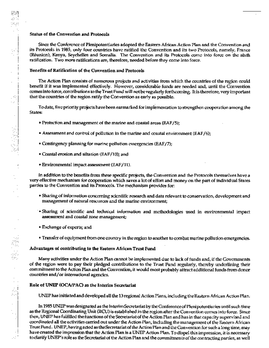# Status of the Convention and Protocols

Since the Conference of Plenipotentiaries adopted the Eastern African Action Plan and the Convention and its Protocols in 1985, only four countries have ratified the Convention and its two Protocols, namely, France (Réunion), Kenya, Seychelles and Somalia. The Convention and its Protocols come into force on the sixth ratification. Two more ratifications are, therefore, needed before they come into force.

## Benefits of Ratification of the Convention and Protocols

The Action Plan consists of numerous projects and activities from which the countries of the region could benefit if it was implemented effectively. However, considerable funds are needed and, until the Convention comes into force, contributions to the Trust Fund will not be regularly forthcoming. It is therefore, very important that the countries of the region ratify the Convention as early as possible.

To date, five priority projects have been earmarked for implementation to strengthen cooperation among the States:

- Protection and management of the marine and coastal areas (EAF/5);
- Assessment and control of pollution in the marine and coastal environment (EAF/6);
- Contingency planning for marine pollution emergencies (EAF/7);
- Coastal erosion and siltation (EAF/10); and
- Environmental impact assessment (EAF/11).

In addition to the benefits from these specific projects, the Convention and the Protocols themselves have a very effective mechanism for cooperation which saves a lot of effort and money on the part of individual States parties to the Convention and its Protocols. The mechanism provides for:

- Sharing of information concerning scientific research and data relevant to conservation, development and management of natural resources and the marine environment;
- Sharing of scientific and technical information and methodologies used in environmental impact assessment and coastal zone management;
- Exchange of experts; and
- Transfer of equipment from one country in the region to another to combat marine pollution emergencies.

## Advantages of contributing to the Eastern African Trust Fund

Many activities under the Action Plan cannot be implemented due to lack of funds and, if the Governments of the region were to pay their pledged contributions to the Trust Fund regularly, thereby underlining their commitment to the Action Plan and the Convention, it would most probably attract additional funds from donor countries and/or international agencies.

## Role of UNEP (OCA/PAC) as the Interim Secretariat

UNEP has initiated and developed all the 13 regional Action Plans, including the Eastern African Action Plan.

In 1985 UNEP was designated as the Interim Secretariat by the Conference of Plenipotentiaries until such time as the Regional Coordinating Unit (RCU) is established in the region after the Convention comes into force. Since then, UNEP has fulfilled the functions of the Secretariat of the Action Plan and has in that capacity supervised and coordinated all the activities carried out under the Action Plan, including the management of the Eastern African Trust Fund. UNEP, having acted as the Secretariat of the Action Plan and the Convention for such a long time, may have created the impression that the Action Plan is a UNEP Action Plan. To dispel this impression, it is necessary to clarify UNEP's role as the Secretariat of the Action Plan and the commitments of the contracting parties, as well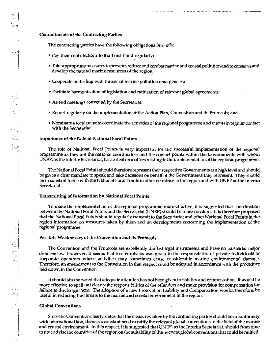The contracting partics have the following obligations *inter alia*:

- Pay their contributions to the Trust Fund regularly;
- Take appropriate measures to prevent, reduce and combat marine and coastal pollution and to conserve and develop the natural marine resources of the region;

- Cooperate in dealing with threats of marine pollution emergencies;
- · Facilitate harmonization of legislation and ratification of relevant global agreements;
- Attend meetings convened by the Secretariat;
- Report regularly on the implementation of the Action Plan, Convention and its Protocols; and
- · Nominate a focal point to coordinate the activities of the regional programme and maintain regular contact with the Secretariat.

#### Importance of the Role of National Focal Points

医心脏 医神经

The role of National Focal Points is very important for the successful implementation of the regional programme as they are the national coordinators and the contact points within the Governments with whom UNEP, as the Interim Secretariat, has to deal on matters relating to the implementation of the regional programme.

The National Focal Points should therefore represent their respective Governments at a high level and should be given a clear mandate to speak and take decisions on behalf of the Governments they represent. They should be in constant touch with the National Focal Points in other countries in the region and with UNEP as the Interim Secretariat.

## Transmitting of Information by National Focal Points

To make the implementation of the regional programme more effective, it is suggested that coordination between the National Focal Points and the Secretariat (UNEP) should be more constant. It is therefore proposed that the National Focal Points should regularly transmit to the Secretariat and other National Focal Points in the region information on measures taken by them and on developments concerning the implementation of the regional programme.

#### Possible Weaknesses of the Convention and its Protocols

The Convention and the Protocols are excellently drafted logal instruments and have no particular major deficiencies. However, it seems that less emphasis was given to the responsibility of private individuals or corporate operators whose activities may sometimes cause considerable marine environmental damage. Therefore, an amendment to the Convention in that respect could be adopted in accordance with the procedure laid down in the Convention.

It should also be noted that adequate attention has not been given to liability and compensation. It would be more effective to spell out clearly the responsibilities of the offenders and make provision for compensation for failure to discharge them. The adoption of a new Protocol on Liability and Compensation would, therefore, be useful in reducing the threats to the marine and coastal environment in the region.

#### **Global Conventions**

Since the Convention clearly states that the measures taken by the contracting parties should be in conformity with international law, there is a constant need to ratify the relevant global conventions in the field of the marine and coastal environment. In this respect, it is suggested that UNEP, as the Interim Secretariat, should from time to time advise the countries of the region on the suitability of the relevant global conventions that could be ratified.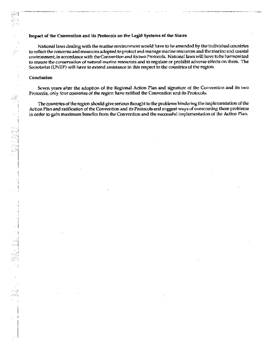#### Impact of the Convention and its Protocols on the Legal Systems of the States

National laws dealing with the marine environment would have to be amended by the individual countries to reflect the concerns and measures adopted to protect and manage marine resources and the marine and coastal environment, in accordance with the Convention and its two Protocols. National laws will have to be harmonized to ensure the conservation of natural marine resources and to regulate or prohibit adverse effects on them. The Secretariat (UNEP) will have to extend assistance in this respect to the countries of the region.

#### Conclusion

ुट्य

8

Seven years after the adoption of the Regional Action Plan and signature of the Convention and its two Protocols, only four countries of the region have ratified the Convention and its Protocols.

The countries of the region should give serious thought to the problems hindering the implementation of the Action Plan and ratification of the Convention and its Protocols and suggest ways of overcoming these problems in order to gain maximum benefits from the Convention and the successful implementation of the Action Pian.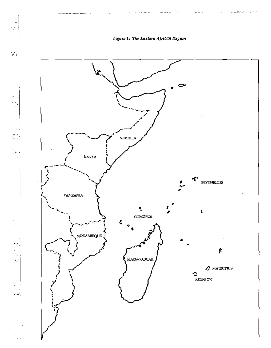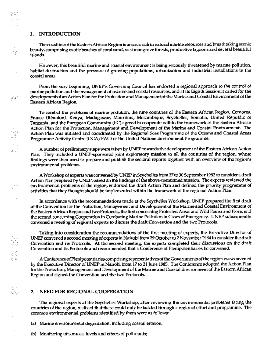## 1. INTRODUCTION

The coastline of the Eastern African Region is an area rich in natural marine resources and breathtaking scenic beauty, comprising exotic beaches of coral sand, vast mangrove forests, productive lagoons and several beautiful islands.

However, this beautiful marine and coastal environment is being seriously threatened by marine pollution, habitat destruction and the pressure of growing populations, urbanization and industrial installations in the coastal areas.

From the very beginning, UNEP's Governing Council has endorsed a regional approach to the control of marine pollution and the management of marine and coastal resources, and at its Eighth Session it called for the development of an Action Plan for the Protection and Management of the Marine and Coastal Environment of the Eastern African Region.

To combat the problems of marine poliution, the nine countries of the Eastern African Region, Comoros, France (Réunion), Kenya, Madagascar, Mauritius, Mozambique, Seychelles, Somalia, United Republic of Tanzania, and the European Community (EC) agreed to cooperate within the framework of the Eastern African Action Plan for the Protection, Management and Development of the Marine and Coastal Environment. The Action Plan was initiated and coordinated by the Regional Scas Programme of the Oceans and Coastal Areas Programme Activity Centre (OCA/PAC) of the United Nations Environment Programme.

A number of preliminary steps were taken by UNEP towards the development of the Eastern African Action Plan. They included a UNEP-sponsored joint exploratory mission to all the countries of the region, whose findings were then used to prepare and publish the sectoral reports together with an overview of the region's environmental problems.

A Workshop of experts was convened by UNEP in Seychelles from 27 to 30 September 1982 to consider a draft Action Pian prepared by UNEP, based on the findings of the above-mentioned mission. The experts reviewed the environmental problems of the region, endorsed the draft Action Plan and defined the priority programme of activities that they thought should be implemented within the framework of the regional Action Plan.

In accordance with the recommendations made at the Seychelles Workshop, UNEP prepared the first draft of the Convention for the Protection, Management and Development of the Marine and Coastal Environment of the Eastern African Region and two Protocols, the first concerning Protected Areas and Wild Fauna and Flora, and the second concerning Cooperation in Combating Marine Pollution in Cases of Emergency. UNEP subsequently convened a meeting of regional experts to discuss the draft Convention and the two Protocols.

Taking into consideration the recommendations of the first meeting of experts, the Executive Director of UNEP convened a second meeting of experts in Nairobi from 29 October to 2 November 1984 to consider the draft Convention and its Protocols. At the second meeting, the experts completed their discussions on the draft Convention and its Protocols and recommended that a Conference of Plenipotentiaries be convened.

A Conference of Plenipotentiaries comprising representatives of the Governments of the region was convened by the Executive Director of UNEP in Nairobi from 17 to 21 June 1985. The Conference adopted the Action Plan for the Protection, Management and Development of the Marine and Coastal Environment of the Eastern African Region and signed the Convention and the two Protocols.

#### NEED FOR REGIONAL COOPERATION 2.

The regional experts at the Seychelles Workshop, after reviewing the environmental problems facing the countries of the region, realized that these could only be tackled through a regional effort and programme. The common environmental problems identified by them were as follows:

(a) Marine environmental degradation, including coastal erosion;

(b) Monitoring of sources, levels and effects of pollutants;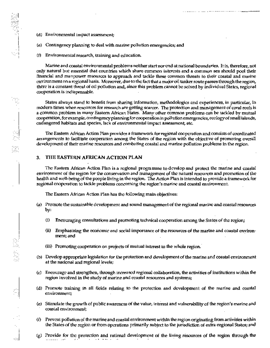- (d) Environmental impact assessment;
- (e) Contingency planning to deal with marine pollution emergencies; and
- (f) Environmental research, training and education.

Marine and coastal environmental problems neither start nor end at national boundaries. It is, therefore, not only natural but essential that countries which share common interests and a common sea should pool their financial and manpower resources to approach and tackle these common threats to their coastal and marine environment on a regional basis. Moreover, due to the fact that a major oil tanker route passes through the region, there is a constant threat of oil pollution and, since this problem cannot be solved by individual States, regional cooperation is indispensable.

States always stand to benefit from sharing information, methodologics and experiences, in particular, in modern times when resources for research are getting scarcer. The protection and management of coral reefs is a common problem in many Eastern African States. Many other common problems can be tackled by mutual cooperation, for example, contingency planning for cooperation in pollution emergencies, ecology of small islands, endangered habitats and species, lack of environmental impact assessment, etc.

The Eastern African Action Plan provides a framework for regional cooperation and consists of coordinated arrangements to facilitate cooperation among the States of the region with the objective of promoting overall development of their marine resources and combating coastal and marine pollution problems in the region.

#### THE EASTERN AFRICAN ACTION PLAN 3.

The Fastern African Action Plan is a regional programme to develop and protect the marine and coastal environment of the region for the conservation and management of the natural resources and promotion of the health and well-being of the people living in the region. The Action Plan is intended to provide a framework for regional cooperation to tackle problems concerning the region's marine and coastal environment.

The Eastern African Action Plan has the following main objectives:

- (a) Promote the sustainable development and sound management of the regional marine and coastal resources by:
	- $\left($ i) Encouraging consultations and promoting technical cooperation among the States of the region;
	- Emphasizing the economic and social importance of the resources of the marine and coastal environ-(ii) ment; and
	- (iii) Promoting cooperation on projects of mutual interest to the whole region.
- (b) Develop appropriate legislation for the protection and development of the marine and coastal environment at the national and regional levels;
- (c) Encourage and strengthen, through increased regional collaboration, the activities of institutions within the region involved in the study of marine and coastal resources and systems;
- (d) Promote training in all fields relating to the protection and development of the marine and coastal environment;
- (e) Stimulate the growth of public awareness of the value, interest and vulnerability of the region's marine and coastal environment;
- (f) Prevent pollution of the marine and coastal environment within the region originating from activities within the States of the region or from operations primarily subject to the jurisdiction of extra-regional States; and
- $(g)$  Provide for the protection and rational development of the living resources of the region through the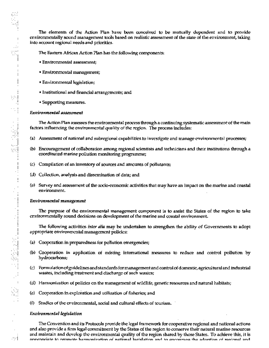The elements of the Action Plan have been conceived to be mutually dependent and to provide environmentally sound management tools based on realistic assessment of the state of the environment, taking into account regional needs and priorities.

The Eastern African Action Plan has the following components:

- Environmental assessment;
- Environmental management;
- Environmental legislation;
- Institutional and financial arrangements; and
- Supporting measures.

#### Environmental assessment

 $\sim$   $\sim$ w.

 $\overline{\phantom{a}}$ 

1、月光期

 $\frac{1}{2}$ 

 $\frac{1}{2}$ 

 $\begin{array}{c} \begin{array}{c} \begin{array}{c} \begin{array}{c} \end{array} \\ \begin{array}{c} \end{array} \end{array} \end{array} \end{array}$ 

Ñ

-24

The Action Plan assesses the environmental process through a continuing systematic assessment of the main factors influencing the environmental quality of the region. The process includes:

- (a) Assessment of national and subregional capabilities to investigate and manage environmental processes;
- (b) Encouragement of collaboration among regional scientists and technicians and their institutions through a coordinated marine pollution monitoring programme;
- (c) Compilation of an inventory of sources and amounts of pollutants;
- (d) Collection, analysis and dissemination of data; and
- (e) Survey and assessment of the socio-economic activities that may have an impact on the marine and coastal environment.

#### Environmental management

The purpose of the environmental management component is to assist the States of the region to take environmentally sound decisions on development of the marine and coastal environment.

The following activities *inter alia* may be undertaken to strengthen the ability of Governments to adopt appropriate environmental management policies:

- (a) Cooperation in preparedness for pollution emergencies;
- (b) Cooperation in application of existing international measures to reduce and control pollution by hydrocarbons;
- (c) Formulation of guidelines and standards for management and control of domestic, agricuitural and industrial wastes, including treatment and discharge of such wastes;
- (d) Harmonization of policies on the management of wildlife, genetic resources and natural habitats;
- (e) Cooperation in exploration and utilization of fisheries; and
- $\omega$ Studies of the environmental, social and cultural effects of tourism.

#### Environmental legislation

The Convention and its Protocols provide the legal framework for cooperative regional and national actions and also provide a firm legal commitment by the States of the region to conserve their natural marine resources and maintain and develop the environmental quality of the region shared by those States. To achieve this, it is appropriate to promote harmonization of national logislation and to encourage the adoption of regional and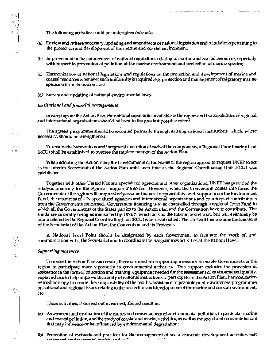The following activities could be undertaken inter alia:

(a) Review and, where necessary, updating and amendment of national legislation and regulations pertaining to the protection and development of the marine and coastal environment;

- (b) Improvement in the enforcement of national regulations relating to marine and coastal resources, especially with respect to prevention of pollution of the marine environment and protection of marine species;
- (c) Harmonization of national legislations and regulations on the protection and development of marine and coastal resources whenever such uniformity is required, e.g. protection and management of migratory marine species within the region; and
- (d) Survey and updating of national environmental laws.

#### Institutional and financial arrangements

In carrying out the Action Plan, the national capabilities available in the region and the capabilities of regional and international organizations should be used to the greatest possible extent.

The agreed programme should be executed primarily through existing national institutions which, where necessary, should be strengthened.

To ensure the harmonious and integrated evolution of each of the components, a Regional Coordinating Unit (RCU) shall be established to oversee the implementation of the Action Plan.

When adopting the Action Plan, the Governments of the States of the region agreed to request UNEP to act as the Interim Secretariat of the Action Plan until such time as the Regional Coordinating Unit (RCU) was established.

Together with other United Nations specialized agencies and other organizations, UNEP has provided the catalytic financing for the regional programme so far. However, when the Convention comes into force, the Governments of the region will progressively assume financial responsibility, with support from the Environment Fund, the resources of UN specialized agencies and international organizations and counterpart contributions from the Governments concerned. Government financing is to be channelled through a regional Trust Fund to which all the Governments of the States parties to the Action Plan and the Convention have to contribute. The funds are currently being administered by UNEP, which acts as the Interim Secretariat, but will eventually be administered by the Regional Coordinating Unit (RCU) when established. The Unit will then assume the functions of the Secretariat of the Action Plan, the Convention and its Protocols.

A National Focal Point should be designated by each Government to facilitate the work of, and communication with, the Secretariat and to coordinate the programmes activities at the national level.

#### **Supporting measures**

意思の

и,

To make the Action Plan successful, there is a need for supporting measures to enable Governments of the region to participate more vigorously in environmental activities. This support includes the provision of assistance in the form of education and training, equipment needed for the assessment of environmental quality, expert advice to help improve the ability of national institutions to participate in the Action Plan, harmonization of methodology to ensure the comparability of the results, assistance to promote public awareness programmes on national and regional issues relating to the protection and development of the marine and coastal environment, etc.

These activities, if carried out in earnest, should result in:

- Assessment and evaluation of the causes and consequences of crivironmental pollution, in particular marine (a) and coastal pollution, and the study of coastal and marine activities, as well as the social and economic factors that may influence or be influenced by environmental degradation;
- (b) Promotion of methods and practices for the management of socio-economic development activities that onformand analyzing control collection of the color of  $\overline{\cdot}$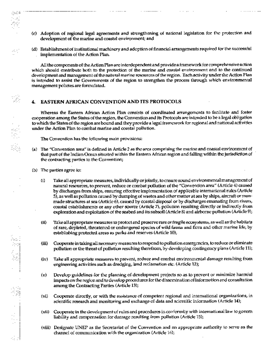(c) Adoption of regional legal agreements and strengthening of national legislation for the protection and development of the marine and coastal environment; and

(d) Establishment of institutional machinery and adoption of financial arrangements required for the successful implementation of the Action Plan.

All the components of the Action Plan are interdependent and provide a framework for comprehensive action which should contribute both to the protection of the marine and coastal environment and to the continued development and management of the natural marine resources of the region. Each activity under the Action Plan is intended to assist the Governments of the region to strengthen the process through which environmental management policies are formulated.

#### EASTERN AFRICAN CONVENTION AND ITS PROTOCOLS 4.

 $\mathbf{r}$  . The contract contract of  $\mathbf{r}$ 

Whereas the Eastern African Action Plan consists of coordinated arrangements to facilitate and foster cooperation among the States of the region, the Convention and its Protocols are intended to be a legal obligation to which the States of the region are bound and they provide a legal framework for regional and national activities under the Action Plan to combat marine and coastal pollution.

The Convention has the following main provisions:

- (a) The "Convention area" is defined in Article 2 as the area comprising the marine and coastal environment of that part of the Indian Ocean situated within the Eastern African region and falling within the jurisdiction of the contracting parties to the Convention;
- (b) The parties agree for

ුන W.

43

 $\mathbf{I}$ 

- Take all appropriate measures, individually or jointly, to cnsure sound environmental management of  $(i)$ natural resources, to prevent, reduce or combat pollution of the "Convention area" (Article 4) caused by discharges from ships, ensuring effective implementation of applicable international rules (Article 5), as well as pollution caused by dumping of wastes and other matter at sea by ships, aircraft or manmade structures at sea (Article 6), caused by coastal disposal or by discharges emanating from rivers, coastal establishments or any other source (Article 7), pollution resulting directly or indirectly from exploration and exploitation of the seabed and its subsoil (Article 8) and airborne pollution (Article 9);
- $(ii)$ Take all appropriate measures to protoct and preserve rare or fragile ecosystems, as well as the habitats of rare, depleted, threatened or endangered species of wild fauna and flora and other marine life, by establishing protected areas as parks and reserves (Article 10);
- $(iii)$ Cooperate in taking all necessary measures to respond to pollution emergencies, to reduce or eliminate pollution or the threat of pollution resulting therefrom, by developing contingency plans (Article 11);
- Take all appropriate measures to prevent, reduce and combat environmental damage resulting from (iv) engineering activities such as dredging, land reclamation etc. (Article 12);
- $(v)$ Develop guidelines for the planning of development projects so as to prevent or minimize harmful impacts on the region and to develop procedures for the dissemination of information and consultation among the Contracting Parties (Article 13);
- Cooperate directly, or with the assistance of competent regional and international organizations, in (vi) scientific research and monitoring and exchange of data and scientific information (Article 14);
- (yii) Cooperate in the development of rules and procedures in conformity with international law to govern liability and compensation for damage resulting from pollution (Article 15);
- (viii) Designale UNEP as the Secretariat of the Convention and an appropriate authority to serve as the channel of communication with the organization (Article 16);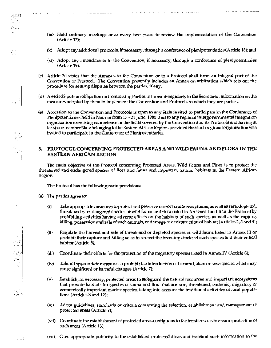(ix) Hold ordinary meetings once every two years to review the implementation of the Convention (Article 17);

<u>. A concern to a concern the content of the content of the content of the content of the content of the content</u>

and the common states of the

- (x) Adopt any additional protocols, if necessary, through a conference of plenipotentiories (Article 18); and
- (xi) Adopt any amendments to the Convention, if necessary, through a conference of plenipotentiaries (Article 19).
- Article 20 states that the Annexes to the Convention or to a Protocol shall form an integral part of the (c) Convention or Protocol. The Convention presently includes an Annex on arbitration which sets out the procedure for settling disputes between the parties, if any.
- (d) Article 23 puts an obligation on Contracting Parties to transmit regularly to the Secretariat information on the measures adopted by them to implement the Convention and Protocols to which they are parties.
- (e) Accession to the Convention and Protocols is open to any State invited to participate in the Conference of Plenipotentiaries held in Nairobi from 17 - 21 June, 1985, and to any regional intergovernmental integration organization exercising competence in the fields covered by the Convention and its Protocols and having at least one member State belonging to the Eastern African Region, provided that such regional organization was invited to participate in the Conference of Plenipotentiaries.

#### PROTOCOL CONCERNING PROTECTED AREAS AND WILD FAUNA AND FLORA IN THE 5. **EASTERN AFRICAN REGION**

The main objective of the Protocol concerning Protected Areas, Wild Fauna and Flora is to protect the threatened and endangered species of flora and fauna and important natural habitats in the Eastern African Region.

The Protocol has the following main provisions:

(a) The parties agree to:

Ğ,

- 9

e. J

- $\rm (i)$ Take appropriate measures to protect and preserve rare or fragile ecosystems, as well as rare, depleted, threatened or endangered species of wild fauna and flora listed in Annexes I and II to the Protocol by prohibiting activities having adverse effects on the habitats of such species, as well as the capture, killing, possession and sale of such animals, or damage to or destruction of habitat (Articles 2,3 and 4);
- $(ii)$ Regulate the harvest and sale of threatened or depleted species of wild fauna listed in Annex III or prohibit their capture and killing so as to protect the breeding stocks of such species and their critical habitat (Article 5);
- $(11)$ Coordinate their efforts for the protection of the migratory species listed in Annex IV (Article 6);
- $(iv)$ Take all appropriate measures to prohibit the introduction of harmful, alien or new species which may cause significant or harmful changes (Article 7);
- $(v)$ Establish, as necessary, protected areas to safeguard the natural resources and important ecosystems that provide habilats for species of fauna and flora that are rare, threatened, endemic, migratory or economically important marine species, taking into account the traditional activities of local populations (Articles 8 and 12);
- $(vi)$ Adopt guidelines, standards or criteria concerning the selection, establishment and management of protected areas (Article 9);
- (vii) Coordinate the establishment of protected areas contiguous to the frontier so as to ensure protection of such areas (Article 13);
- (viii) Give appropriate publicity to the established protected areas and transmit such information to the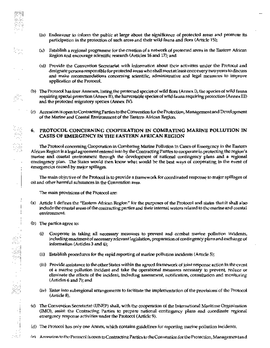- (ix) Endeavour to inform the public at large about the significance of protected areas and promote its participation in the protection of such areas and their wild fauna and flora (Article 15);
- $(x)$  Establish a regional programme for the creation of a network of protected areas in the Eastern African Region and encourage scientific research (Articles 16 and 17); and
- (xi) Provide the Convention Secretariat with information about their activities under the Protocol and designate persons responsible for protected areas who shall meet at least once every two years to discuss and make recommendations concerning scientific, administrative and legal measures to improve application of the Protocol.
- (b) The Protocol has four Annexes, listing the protected species of wild flora (Annex I), the species of wild fauna requiring special protection (Annex II), the harvestable species of wild fauna requiring protection (Annex III) and the protected migratory species (Annex IV).
- (c) Accession is open to Contracting Parties to the Convention for the Protection, Management and Development of the Marine and Coastal Environment of the Eastern African Region.

## 6. PROTOCOL CONCERNING COOPERATION IN COMBATING MARINE POLLUTION IN CASES OF EMERGENCY IN THE EASTERN AFRICAN REGION

The Protocol concerning Cooperation in Combating Marine Pollution in Cases of Emergency in the Eastern African Region is a legal agreement entered into by the Contracting Parties to cooperate in protecting the region's marine and coastal environment through the development of national contingency plans and a regional contingency plan. The States would then know what would be the best ways of cooperating in the event of emergencies caused by major spillages.

The main objective of the Protocol is to provide a framework for coordinated response to major spillages of oil and other harmful substances in the Convention area.

The main provisions of the Protocol are:

- (a) Article 1 defines the "Eastern African Region" for the purposes of the Protocol and states that it shall also jnclude the coastal areas of the contracting parties and their internal waters related to the marine and coastal environment.
- (b) The partics agree to:

Ñ

 $\overline{\phantom{a}}$ 

V.H

tanji š

- (i) Cooperate in taking all necessary measures to prevent and combat marine pollution incidents, including enactment of necessary relevant legislation, preparation of contingency plans and exchange of information (Articles 3 and 4);
- (ii) Establish procedures for the rapid reporting of marine pollution incidents (Article 5);
- (iii) Provide assistance to the other States within the agreed framework of joint response action in the event of a marine pollution incident and take the operational measures necessary to prevent, reduce or climinate the effects of the incident, including assessment, notification, consultation and monitoring (Articles 6 and 7); and
- (iv) Enter into subregional arrangements to facilitate the implementation of the provisions of the Protocol  $(A<sub>r</sub>$  ideals).
- (c) The Convention Secretariat (UNEP) shall, with the cooperation of the International Maritime Organization (IMO), assist the Contracting Parties to propare national contingency plans and coordinate regional emergency response activities under the Protocol (Article 9).
- (d) The Protocol has only one Annex, which contains guidelines for reporting marine pollution incidents.
- (e) Accession to the Protocol is open to Contracting Parties to the Convention for the Protection, Management and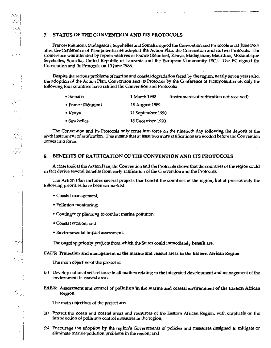#### **STATUS OF THE CONVENTION AND ITS PROTOCOLS** 7.

France (Rounion), Madagascar, Soychelles and Somalia signed the Convention and Protocols on 21 June 1985 after the Conference of Plenipotentiaries adopted the Action Plan, the Convention and its two Protocols. The Conference was attended by representatives of France (Réunion), Kenya, Madagascar, Mauritius, Mozambique Seychelles, Somalia, United Republic of Tanzania and the European Community (EC). The EC signed the Convention and its Protocols on 19 June 1986.

Despite the serious problems of marine and coastal degradation faced by the region, nearly seven years after the adoption of the Action Plan, Convention and its Protocols by the Conference of Picnipotentiaries, only the following four countries have ratified the Convention and Protocols:

| + Somalia          | 1 March 1988      | (instruments of ratification not received) |
|--------------------|-------------------|--------------------------------------------|
| • France (Réumion) | 18 August 1989    |                                            |
| • Kenya            | 11 September 1990 |                                            |
| • Seychelles       | 18 December 1990  |                                            |

The Convention and its Protocols only come into force on the nineticth day following the deposit of the sixth instrument of ratification. This means that at least two more ratifications are needed before the Convention comes into force.

#### 8. BENEFITS OF RATIFICATION OF THE CONVENTION AND ITS PROTOCOLS

A close look at the Action Plan, the Convention and the Protocols shows that the countries of the region could in fact derive several benefits from early ratification of the Convention and the Protocols.

The Action Plan includes several projects that benefit the countries of the region, but at present only the following priorities have been earmarked:

• Coastal management;

Á,

مزمرير

Single.

- Pollution monitoring;
- Contingency planning to combat marine pollution;
- Coastal crosion: and
- Environmental impact assessment.

The ongoing priority projects from which the States could immediately benefit are:

EAF/5: Protection and management of the marine and coastal areas in the Eastern African Region

The main objective of the project is:

- (a) Develop national self-reliance in all matters relating to the integrated development and management of the environment in coastal areas.
- EAF/6: Assessment and control of pollution in the marine and coastal environment of the Eastern African Region

The main objectives of the project are:

- (a) Protect the ocean and coastal areas and resources of the Eastern African Region, with emphasis on the introduction of pollution control measures in the region;
- (b) Encourage the adoption by the region's Governments of policies and measures designed to mitigate or eliminate marine pollution problems in the region; and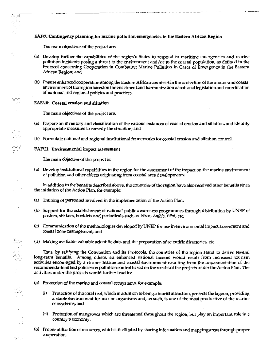## EAF/7: Contingency planning for marine pollution emergencies in the Eastern African Region

The main objectives of the project are:

પ્રા şж

gener<br>S - Al

ing<br>17

Ŷ

÷, أكافيه

نجا دره

te N

- (a) Develop further the capabilities of the region's States to respond to maritime emergencies and marine pollution incidents posing a threat to the environment and/or to the coastal population, as defined in the Protocol concerning Cooperation in Combating Marine Pollution in Cases of Emergency in the Eastern African Region; and
- (b) Ensure enhanced cooperation among the Eastern African countries in the protection of the marine and coastal environment of the region based on the enactment and harmonization of national legislation and coordination of national and regional policies and practices.

## **EAF/10:** Coastal erosion and siltation

The main objectives of the project are:

- (a) Prepare an inventory and classification of the various instances of coastal crosion and sillation, and identify appropriate measures to remedy the situation; and
- (b) Formulate national and regional institutional frameworks for coastal erosion and siltation control.

## EAF/11: Environmental impact assessment

The main objective of the project is:

(a) Develop institutional capabilities in the region for the assessment of the impact on the marine environment of pollution and other effects originating from coastal area developments.

In addition to the benefits described above, the countries of the region have also received other benefits since the initiation of the Action Plan, for example:

- (a) Training of personnel involved in the implementation of the Action Plan;
- (b) Support for the establishment of national public awareness programmes through distribution by UNEP of posters, stickers, booklets and periodicals such as Siren, Ambio, Pilot, etc.
- (c) Communication of the methodologies developed by UNEP for use in environmental impact assessment and coastal zone management; and
- (d) Making available valuable scientific data and the preparation of scientific directories, etc.

Thus, by ratifying the Convention and its Protocols, the countries of the region stand to derive several long-term benefits. Among others, an enhanced national income would result from increased tourism activities encouraged by a cleaner marine and coastal environment resulting from the implementation of the recommendations and policies on pollution control based on the results of the projects under the Action Plan. The activities under the projects would further lead to:

- (a) Protection of the marine and coastal ecosystems, for example:
	- $(i)$ Protection of the coral reef, which in addition to being a tourist attraction, protects the lagoon, providing a stable environment for marine organisms and, as such, is one of the most productive of the marine ecosystems, and
	- (ii) Protection of mangroves which are threatened throughout the region, but play an important role in a country's economy.
- . (b) Proper utilization of resources, which is facilitated by sharing information and mapping areas through proper .cooperation.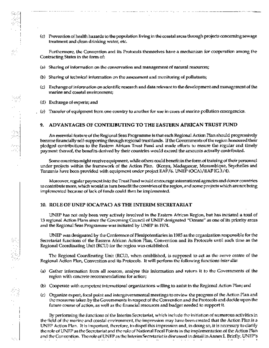- - (c) Prevention of health hazards to the population living in the coastal arcas through projects concerning sewage treatment and clean drinking water, etc.

Furthermore, the Convention and its Protocols themselves have a mechanism for cooperation among the Contracting States in the form of:

- (a) Sharing of information on the conservation and management of natural resources;
- (b) Sharing of technical information on the assessment and monitoring of pollutants;
- (c) Exchange of information on scientific research and data relevant to the development and management of the marine and coastal environment;
- (d) Exchange of experts; and
- Transfer of equipment from one country to another for use in cases of marine pollution emergencies.  $(e)$

#### ADVANTAGES OF CONTRIBUTING TO THE EASTERN AFRICAN TRUST FUND 9.

An essential feature of the Regional Seas Programme is that each Regional Action Plan should progressively become financially self-supporting through regional trust funds. If the Governments of the region honoured their pledged contributions to the Eastern African Trust Fund and made efforts to ensure the regular and timely payment thereof, the benefits derived by their countries would exceed the amounts actually contributed.

Some countries might receive equipment, while others could benefit in the form of training of their personnel under projects within the framework of the Action Plan. (Kenya, Madagascar, Mozambique, Seychelles and Tanzania have been provided with equipment under project EAF/6. UNEP (OCA)/EAFIG.3/4).

Moreover, regular payment into the Trust Fund would encourage international agencies and donor countries to contribute more, which would in turn benefit the countries of the region, and some projects which are not being implemented because of lack of funds could then be implemented.

#### **10. ROLE OF UNEP (OCAPAC) AS THE INTERIM SECRETARIAT**

UNEP has not only been very actively involved in the Eastern African Region, but has initiated a total of 13 regional Action Plans since the Governing Council of UNEP designated "Oceans" as one of its priority areas and the Regional Seas Programme was initiated by UNEP in 1974.

UNEP was designated by the Conference of Plenipotentiaries in 1985 as the organization responsible for the Secretariat functions of the Eastern African Action Plan, Convention and its Protocols until such time as the Regional Coordinating Unit (RCU) for the region was established.

The Regional Coordinating Unit (RCU), when established, is supposed to act as the nerve centre of the Regional Action Plan, Convention and its Protocols. It will perform the following functions inter alia:

- (a) Gather information from all sources, analyse this information and return it to the Governments of the region with concrete recommendations for action;
- (b) Cooperate with competent international organizations willing to assist in the Regional Action Plan; and
- (c) Organize expert, focal point and intergovernmental meetings to review the progress of the Action Plan and the measures taken by the Governments in respect of the Convention and the Protocols and decide upon the future course of action, as well as the financial resources and budget needed to support it.

By performing the functions of the Interim Secretariat, which include the initiation of numerous activities in the field of the marine and coastal environment, the impression may have been created that the Action Plan is a UNEP Action Plan. It is important, therefore, to dispel this impression and, in doing so, it is necessary to clarify the role of UNEP as the Secretariat and the role of National Focal Points in the implementation of the Action Plan and the Convention. The role of UNEP as the Interim Secretariat is discussed in detail in Annex I. Briefly, UNEP's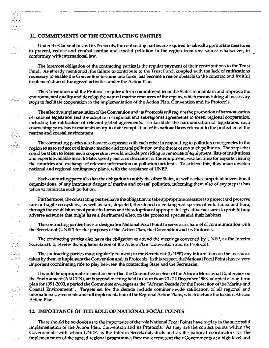## **11. COMMITMENTS OF THE CONTRACTING PARTIES**

A.

f

A.

Under the Convention and its Protocols, the contracting partics are required to take all appropriate measures to prevent, reduce and combat marine and coastal pollution in the region from any source whatsoever, in conformity with international law.

The foremost obligation of the contracting parties is the regular payment of their contributions to the Trust Fund. As already mentioned, the failure to contribute to the Trust Fund, coupled with the lack of ratifications necessary to enable the Convention to come into force, has become a major obstacle to the concrete and fruitful implementation of the agreed activities under the Action Plan.

The Convention and the Protocols require a firm commitment from the States to maintain and improve the environmental quality and develop the natural marine resources of the region, which means taking all necessary steps to facilitate cooperation in the implementation of the Action Plan, Convention and its Protocols.

The effective implementation of the Convention and its Protocols will require the promotion of harmonization of national legislation and the adoption of regional and subregional agreements to foster regional cooperation, including the ratification of relevant global agreements. To facilitate the harmonization of legislation, each contracting party has to maintain an up-to-date compilation of its national laws relevant to the protection of the marine and coastal environment.

The contracting parties also have to cooperate with each other in responding to pollution emergencies in the region so as to reduce or climinate marine and coastal pollution or the threat of any such pollution. The steps that could be taken to foster such cooperation would include providing inventories of equipment, lists of institutions and experts available in each State, speedy customs clearance for the equipment, visa facilities for experts visiting the countries and exchange of relevant information on pollution incidents. To achieve this, they must develop national and regional contingency plans, with the assistance of UNEP.

Each contracting party also has the obligation to notify the other States, as well as the competent international organizations, of any imminent danger of marine and coastal pollution, informing them also of any steps it has taken to minimize such pollution.

Furthermore, the contracting parties have the obligation to take appropriate measures to protect and preserve rare or fragile ecosystems, as well as rare, depleted, threatened or endangered species of wild fauna and flora, through the establishment of protected areas and the adoption of appropriate legislative measures to prohibit any adverse activities that might have a detrimental effect on the protected species and their habitats.

The contracting parties have to designate a National Focal Point to serve as a channel of communication with the Secretariat (UNEP) for the purposes of the Action Plan, the Convention and its Protocols.

The contracting partics also have the obligation to attend the meetings convened by UNEP, as the Interim Secretariat, to review the implementation of the Action Plan, Convention and its Protocols.

The contracting parties must regularly transmit to the Secretariat (UNEP) any information on the measures taken by them to implement the Convention and its Protocols. In this respect, the National Focal Points have a very important coordinating role to play between the contracting State and the Secretariat.

It would be appropriate to mention here that the Committee on Seas of the African Ministerial Conference on the Environment (AMCEN), at its second meeting held in Cairo from 20 - 22 December 1988, adopted a long-term plan for 1991-2000, a period the Committee envisages as the "African Decade for the Protection of the Marine and Coastal Environment". Targets set for the decade include continent-wide ratification of all regional and international agreements and full implementation of the Regional Action Plans, which include the Eastern African Action Plan.

#### 12 IMPORTANCE OF THE ROLE OF NATIONAL FOCAL POINTS

There should be no doubt as to the importance of the role National Focal Points have to play in the successful implementation of the Action Plan, Convention and its Protocols. As they are the contact points within the Governments with whom UNEP, as the Interim Secretariat, deals and as the national coordinators for the implementation of the agreed regional programme, they must represent their Governments at a high level and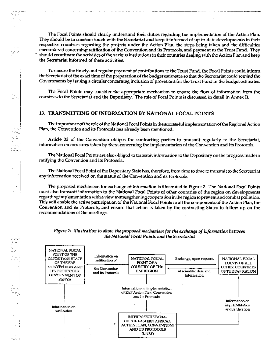Ķ

88

 $27.1$ 

The Focal Points should clearly understand their duties regarding the implementation of the Action Plan, They should be in constant touch with the Secretariat and keep it informed of up-to-date developments in their respective countries regarding the projects under the Action Plan, the steps being taken and the difficulties encountered concerning ratification of the Convention and its Protocols, and payment to the Trust Fund. They should coordinate the activities of the various institutions in their countries dealing with the Action Plan and keep the Secretariat informed of these activities.

To casure the timely and regular payment of contributions to the Trust Fund, the Focal Points could inform the Secretariat of the exact time of the preparation of the budget estimates so that the Secretariat could remind the Governments by issuing a circular concerning inclusion of provisions for the Trust Fund in the budget estimates.

The Focal Points may consider the appropriate mechanism to ensure the flow of information from the countries to the Secretariat and the Depositary. The role of Focal Points is discussed in detail in Annex II.

# 13. TRANSMITTING OF INFORMATION BY NATIONAL FOCAL POINTS

The importance of the role of the National Focal Points in the successful implementation of the Regional Action Plan, the Convention and its Protocols has already been mentioned.

Article 23 of the Convention obliges the contracting parties to transmit regularly to the Secretariat, information on measures taken by them concerning the implementation of the Convention and its Protocols.

The National Focal Points are also obliged to transmit information to the Depositary on the progress made in ratifying the Convention and its Protocols.

The National Focal Point of the Depositary State has, therefore, from time to time to transmit to the Secretariat any information received on the status of the Convention and its Protocols.

The proposed mechanism for exchange of information is illustrated in Figure 2. The National Focal Points must also transmit information to the National Focal Points of other countries of the region on developments regarding implementation with a view to strengthening cooperation in the region to prevent and combat pollution. This will enable the active participation of the National Focal Points in all the components of the Action Plan, the Convention and its Protocols, and ensure that action is taken by the contracting States to follow up on the recommendations of the meetings.



# Figure 2: Illustration to show the proposed mechanism for the exchange of information between the National Focal Points and the Secretariat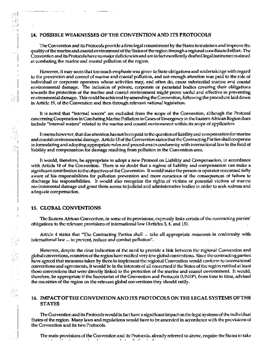## 14. POSSIBLE WEAKNESSES OF THE CONVENTION AND ITS PROTOCOLS

The Convention and its Protocols provide a firm legal commitment by the States to maintain and improve the quality of the marine and coastal environment of the States of the region through a regional coordinated effort. The Convention and its Protocols have no major deficiencies and are in fact excellently drafted legal instruments aimed at combating the marine and coastal pollution of the region.

However, it may seem that too much emphasis was given to State obligations and undertakings with regard to the prevention and control of marine and coastal pollution, and not enough attention was paid to the role of individual or corporate operators whose activities may, and often do, cause substantial marine and coastal environmental damage. The inclusion of private, corporate or parastatal bodies covering their obligations towards the protection of the marine and coastal cnvironment might prove useful and effective in preventing environmental damage. This could be achieved by amending the Convention, following the procedure laid down in Article 19, of the Convention and then through relevant national legislation.

It is noted that "internal waters" are excluded from the scope of the Convention, although the Protocol concerning Cooperation in Combating Marine Pollution in Cases of Emergency in the Eastern African Region does include "internal waters" related to the marine and coastal environment within its scope of application.

It seems howe ver, that due attention has not been paid to the question of liability and compensation for marine and coastal environmental damage. Article 15 of the Convention states that the Contracting Parties shall cooperate in formulating and adopting appropriate rules and procedures in conformity with international law in the field of liability and compensation for damage resulting from pollution in the Convention area.

It would, therefore, be appropriate to adopt a new Protocol on Liability and Compensation, in accordance with Article 18 of the Convention. There is no doubt that a regime of liability and compensation can make a significant contribution to the objectives of the Convention. It would make the person or operator concerned fully aware of his responsibilities for pollution prevention and more conscious of the consequences of failure to discharge his responsibilities. It would also recognize the rights of victims or potential victims of marine environmental damage and grant them access to judicial and administrative bodies in order to scek redress and adequate compensation.

## 15. CLOBAL CONVENTIONS

ă

ا. . . .

84

The Eastern African Convention, in some of its provisions, expressly links certain of the contracting parties' obligations to the relevant provisions of international law (Articles 3, 4, and 15).

Article 4 states that "The Contracting Parties shall ... take all appropriate measures in conformity with international law ... to prevent, reduce and combat pollution".

However, despite the clear indication of the need to provide a link between the regional Convention and global conventions, countries of the region have ratified very few global conventions. Since the contracting parties have agreed that measures taken by them to implement the regional Convention would conform to international conventions and agreements, it would be in the interests of all concerned if the States of the region ratified at least those conventions that were directly linked to the protection of the marine and coastal environment. It would, therefore, be appropriate if the Secretariat of the Convention and Protocols (UNEP), from time to time, advised the countries of the region on the relevant global conventions they should ratify.

## 16. IMPACT OF THE CONVENTION AND ITS PROTOCOLS ON THE LEGAL SYSTEMS OF THE **STATES**

The Convention and its Protocols would in fact have a significant impact on the legal systems of the individual States of the region. Many laws and regulations would have to be amended in accordance with the provisions of the Convention and its two Protocols.

The main provisions of the Convention and its Protocols, already referred to above, require the States to take contract and service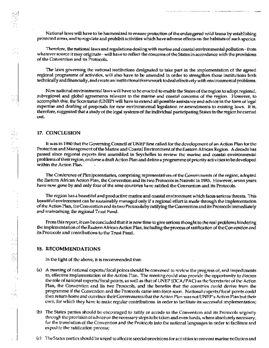National laws will have to be harmonized to ensure protection of the endangered wild fauna by establishing protected areas, and to regulate and prohibit activities which have adverse effects on the habitats of such species.

Therefore, the national laws and regulations dealing with marine and coastal environmental pollution - from whatever source it may originate - will have to reflect the concerns of the States in accordance with the provisions of the Convention and its Protocols.

The laws governing the national institutions designated to take part in the implementation of the agreed regional programme of activities, will also have to be amended in order to strengthen those institutions both technically and financially, and create an institutional framework to deal effectively with environmental problems.

New national environmental laws will have to be enacted to enable the States of the region to adopt regional, subregional and global agreements relevant to the marine and coastal concerns of the region. However, to accomplish this, the Secretariat (UNEP) will have to extend all possible assistance and advice in the form of legal expertise and drafting of proposals for new environmental legislation or amendments to existing laws. It is, therefore, suggested that a study of the legal systems of the individual participating States in the region be carried out.

#### 17. CONCLUSION

It was in 1980 that the Governing Council of UNEP first called for the development of an Action Plan for the Protection and Management of the Marine and Coastal Environment of the Eastern African Region. A decade has passed since regional experts first assembled in Seychelles to review the marine and coastal environmental problems of their region, endorse a draft Action Plan and define a programme of priority activities to be developed within the Action Plan.

The Conference of Plenipotentiaries, comprising representatives of the Governments of the region, adopted the Eastern African Action Plan, the Convention and its two Protocols in Nairobi in 1985. However, seven years have now gone by and only four of the nine countries have ratified the Convention and its Protocols.

The region has a beautiful and productive marine and coastal environment which faces serious threats. This beautiful environment can be sustainably managed only if a regional effort is made through the implementation of the Action Plan, the Convention and its two Protocols by ratifying the Convention and its Protocols immediately and maintaining the regional Trust Fund.

From this report, it can be concluded that it is now time to give serious thought to the real problems hindering the implementation of the Eastern African Action Plan, including the process of ratification of the Convention and its Protocols and contributions to the Trust Fund.

#### 18. RECOMMENDATIONS

i<br>S

In the light of the above, it is recommended that:

- (a) A meeting of national experts/focal points should be convened to review the progress of, and impediments to, effective implementation of the Action Plan. The meeting could also provide the opportunity to discuss the role of national experts/focal points, as well as that of UNEP (CCA/PAC) as the Secretariat of the Action Plan, the Convention and its two Protocols, and the benefits that the countries could derive from the programme if the Convention and the Protocols came into force soon. National experts/fecal points could then return home and convince their Governments that the Action Plan was not UNEP's Action Plan but their own, for which they have to make regular contributions in order to facilitate its successful implementation;
- (b) The States parties should be encouraged to ratify or accede to the Convention and its Protocols urgently through the provision of advice on the necessary steps to be taken and even funds, where absolutely necessary, for the translation of the Convention and the Protocols into the national languages in order to facilitate and expedite the ratification process;
- (c) The States parties should be urged to allocate special provisions for activities to prevent marine pollution and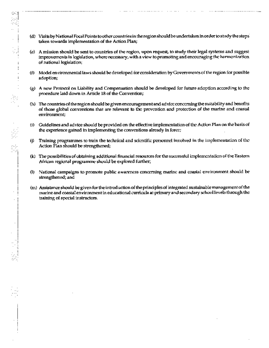(d) Visits by National Focal Points to other countries in the region should be undertaken in order to study the steps taken towards implementation of the Action Plan;

. . . . . . . . . . . . . . .

- (e) A mission should be sent to countries of the region, upon request, to study their legal systems and suggest improvements in legislation, where necessary, with a view to promoting and encouraging the harmonization of national legislation;
- (f) Model environmental laws should be developed for consideration by Governments of the region for possible adoption;
- (g) A new Protocol on Liability and Compensation should be developed for future adoption according to the procedure laid down in Article 18 of the Convention;
- (h) The countries of the region should be given encouragement and advice concerning the suitability and benefits of those global conventions that are relevant to the prevention and protection of the marine and coastal environment;
- (i) Guidelines and advice should be provided on the effective implementation of the Action Plan on the basis of the experience gained in implementing the conventions already in force;
- Training programmes to train the technical and scientific personnel involved in the implementation of the (j) Action Plan should be strengthened;
- (k) The possibilities of obtaining additional financial resources for the successful implementation of the Eastern African regional programme should be explored further;
- National campaigns to promote public awareness concerning marine and coastal environment should be  $\mathbf{u}$ strengthened; and
- (m) Assistance should be given for the introduction of the principles of integrated sustainable management of the marine and coastal environment in educational curricula at primary and secondary school levels through the training of special instructors.

643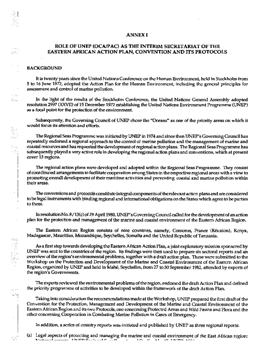#### **ANNEX I**

## ROLE OF UNEP (OCA/PAC) AS THE INTERIM SECRETARIAT OF THE EASTERN AFRICAN ACTION PLAN, CONVENTION AND ITS PROTOCOLS

#### **BACKGROUND**

**College** 

Sec.

 $\sim$  . . .

SA.

機構 総理学

an in as bej

It is twenty years since the United Nations Conference on the Human Environment, held in Stockholm from 5 to 16 June 1972, adopted the Action Plan for the Human Environment, including the general principles for assessment and control of marine pollution.

In the light of the results of the Stockholm Conference, the United Nations General Assembly adopted resolution 2997 (XXVII) of 15 December 1972 establishing the United Nations Environment Programme (UNEP) as a focal point for the protection of the environment.

Subsequently, the Governing Council of UNEP chose the "Oceans" as one of the priority areas on which it would focus its attention and efforts.

The Regional Seas Programme was initiated by UNEP in 1974 and since then UNEP's Governing Council has repeatedly endorsed a regional approach to the control of marine pollution and the management of marine and coastal resources and has requested the development of regional action plans. The Regional Seas Programme has subsequently played a very active role in developing the regional action plans and conventions, which at present cover 13 regions.

The regional action plans were developed and adopted within the Regional Seas Programme. They consist of coordinated arrangements to facilitate cooperation among States in the respective regional areas with a view to promoting overall development of their maritime activities and preventing coastal and marine pollution within their areas.

The conventions and protocols constitute integral components of the relevant action plans and are considered to be legal instruments with binding regional and international obligations on the States which agree to be parties to them.

In resolution No. 8/13(c) of 29 April 1980, UNEP's Governing Council called for the development of an action plan for the protection and management of the marine and coastal environment of the Eastern African Region.

The Eastern African Region consists of nine countries, namely, Comoros, France (Réunion), Kenya, Madagascar, Mauritius, Mozambique, Seychelles, Somalia and the United Republic of Tanzania.

As a first step towards developing the Eastern African Action Plan, a joint exploratory mission sponsored by UNEP was sent to the countries of the region. Its findings were then used to prepare six sectoral reports and an overview of the region's environmental problems, together with a draft action plan. These were submitted to the Workshop on the Protection and Development of the Marine and Coastal Environment of the Eastern African Region, organized by UNEP and hold in Mahé, Seychelles, from 27 to 30 September 1982, attended by experts of the region's Governments.

The experts reviewed the environmental problems of the region, endorsed the draft Action Plan and defined the priority programme of activities to be developed within the framework of the draft Action Plan.

Taking into consideration the recommondations made at the Workshop, UNEP prepared the first draft of the Convention for the Protection, Management and Development of the Marine and Coastal Environment of the Eastern African Region and its two Protocols, one concerning Protected Areas and Wild Fauna and Flora and the other concerning Cooperation in Combating Marine Pollution in Cases of Emergency.

In addition, a scries of country reports was initiated and published by UNEP as three regional reports:

(a) Legal aspects of protecting and managing the marine and coastal environment of the East African region:  $\sim$   $\sim$  $N = 1 - 1 - 1 - 1$  Thinn  $N = 1 - 10$  .  $\overline{N}$  $\mathbf{u}_1\mathbf{u}_2\mathbf{u}_3=\mathbf{u}_1\mathbf{u}_2$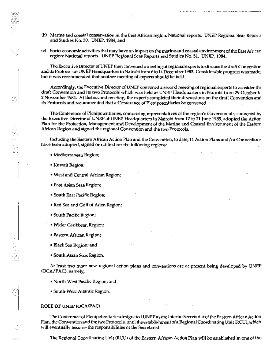(b) Marine and coastal conservation in the East African region: National reports. UNEP Regional Seas Reports and Studies No. 50. UNEP, 1984; and

(c) Socio-economic activities that may have an impact on the matine and coastal environment of the East African region: National reports. UNEP Regional Scas Reports and Studics No. 51. UNEP, 1984.

The Executive Director of UNEP then convened a meeting of regional experts to discuss the draft Conventior and its Protocols at UNEP Headquarters in Nairobi from 6 to 14 December 1983. Considerable progress was made but it was recommended that another meeting of experts should be held.

Accordingly, the Executive Director of UNEP convened a second meeting of regional experts to consider the draft Convention and its two Protocols which was held at UNEP Headquarters in Nairobi from 29 October to 2 November 1984. At this second meeting, the experts completed their discussions on the draft Convention and its Protocols and recommended that a Conference of Plenipotentiaries be convened.

The Conference of Picnipotentiaries, comprising representatives of the region's Governments, convened by the Executive Director of UNEP at UNEP Headquarters in Nairobi from 17 to 21 June 1985, adopted the Action Plan for the Protection, Management and Development of the Marine and Coastal Environment of the Eastern African Region and stgned the regional Convention and the two Protocols.

Including the Eastern African Action Plan and the Convention, to date, 11 Action Plans and/or Conventions have been adopted, signed or ratified for the following regions:

- · Mediterranean Region;
- Kuwait Region;
- West and Central African Region;
- East Asian Seas Region;
- South East Pacific Region;
- Red Sea and Gulf of Aden Region;
- South Pacific Region;
- · Wider Caribbean Region;
- Eastern African Region;
- Black Sea Region; and
- South Asian Seas Region.

At least two more new regional action plans and conventions are at present being developed by UNEP (OCA/PAC), namely,

- North-West Pacific Region; and
- South-West Atlantic Region.

#### ROLE OF UNEP (OCA/PAC)

w.

The Conference of Plenipotentiaries designated UNEP as the Interim Secretariat of the Eastern African Action Plan, the Convention and the two Protocols, until the establishment of a Regional Coordinating Unit (RCU), which will eventually assume the responsibilities of the Secretariat.

The Regional Coordinating Unit (RCU) of the Eastern African Action Plan will be established in one of the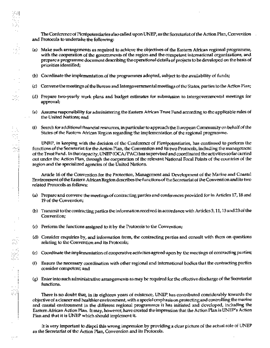. The Conference of Plent potentiaries also called upon UNEP, as the Secretariat of the Action Plan, Convention and Protocols to undertake the following:

- (a) Make such arrangements as required to achieve the objectives of the Eastern African regional programme, with the cooperation of the governments of the region and the competent international organizations, and prepare a programme document describing the operational details of projects to be developed on the basis of priorities identified;
- (b) Coordinate the implementation of the programmes adopted, subject to the availability of funds;

∙.

 $\cdots$ 

- (c) Convene the meetings of the Burcau and Intergovernmental meetings of the States, parties to the Action Plan;
- (d) Prepare two-yearly work plans and budget estimates for submission to Intergovernmental meetings for approval;
- (e) Assume responsibility for administering the Eastern African Trust Fund according to the applicable rules of the United Nations; and
- (f) Search for additional financial resources, in particular to approach the European Community on behalf of the States of the Eastern African Region regarding the implementation of the regional programme.

UNEP, in keeping with the decision of the Conference of Plenipotentiaries, has continued to perform the functions of the Secretariat for the Action Plan, the Convention and its two Protocols, including the management of the Trust Fund. In that capacity, UNEP (OCA/PAC) has supervised and coordinated the activities so far carried out under the Action Plan, through the cooperation of the relevant National Focal Points of the countries of the region and the specialized agencies of the United Nations.

Article 16 of the Convention for the Protection, Management and Development of the Marine and Coastal Environment of the Eastern African Region describes the functions of the Secretarial of the Convention and its two related Protocols as follows:

- (a) Prepare and convene the meetings of contracting parties and conferences provided for in Articles 17, 18 and 19 of the Convention;
- (b) Transmit to the contracting partics the information received in accordance with Articles 3, 11, 13 and 23 of the Convention;
- (c) Perform the functions assigned to it by the Protocols to the Convention;
- (d) Consider enquiries by, and information from, the contracting parties and consult with them on questions relating to the Convention and its Protocols;
- (c) Coordinate the implementation of cooperative activities agreed upon by the meetings of contracting parties;
- (f) Ensure the necessary coordination with other regional and international bodies that the contracting parties consider competent; and
- (g) Enter into such administrative arrangements as may be required for the effective discharge of the Secretariat functions.

There is no doubt that, in its eighteen years of existence, UNEP has contributed considerably towards the objective of a cleaner and healthier environment, with a special emphasis on protecting and controlling the marine and coastal environment in the different regional programmes it has initiated and developed, including the Eastern African Action Plan. It may, however, have created the impression that the Action Plan is UNEP's Action Plan and that it is UNEP which should implement it.

It is very important to dispel this wrong impression by providing a clear picture of the actual role of UNEP as the Secretarial of the Action Plan, Convention and its Protocols.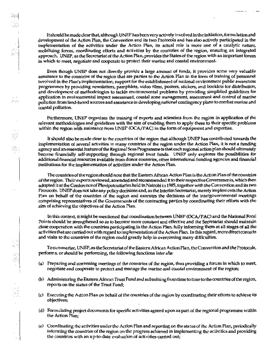It should be made clear that, although UNEP has been very actively involved in the initiation, formulation and development of the Action Plan, the Convention and its two Protocols and has also actively participated in the implementation of the activities under the Action Plan, its actual role is more one of a catalytic nature, mobilizing forces, coordinating efforts and activities by the countries of the region, ensuring an integrated approach. UNEP, as the Secretariat of the Action Plan, provides the States of the region with an important forum in which to meet, negotiate and cooperate to protect their marine and coastal environment.

Even though UNEP does not directly provide a large amount of funds, it provides some very valuable assistance to the countries of the region that are parties to the Action Plan in the form of training of personnel involved in the Plan's implementation, support for the establishment of national environment public awareness programmes by providing newsletters, pamphlets, video films, posters, stickers, and booklets for distribution, and development of methodologies to tackle environmental problems by providing simplified guidelines for application in environmental impact assessment, coastal zone management, assessment and control of marine pollution from land-based sources and assistance in developing national contingency plans to combat marine and coastal pollution.

ASC.

Furthermore, UNEP organizes the training of experts and scientists from the region in application of the relevant methodologies and guidelines with the aim of enabling them to apply these to their specific problems within the region with assistance from UNEP (OCA/PAC) in the form of equipment and expertise.

It should also be made clear to the countries of the region that although UNEP has contributed towards the implementation of several activities in many countries of the region under the Action Plan, it is not a funding agency and an essential feature of the Regional Scas Programme is that each regional action plan should ultimately become financially self-supporting through regional trust funds. UNEP only explores the possibilities for additional financial resources available from donor countries, other international funding agencies and financial institutions for the implementation of activities under the Action Plan.

The countries of the region should note that the Eastern African Action Plan is the Action Plan of the countries of the region. Their experts reviewed, amended and recommended it to their respective Governments, which then adopted it at the Conference of Plenipotentiaries held in Natrobi in 1985, together with the Convention and its two Protocols. UNEP does not take any policy decisions and, as the Interim Secretariat, merely implements the Action Plan on behalf of the countries of the region and executes the decisions of the intergovernmental meetings comprising representatives of the Governments of the contracting parties by coordinating their efforts with the aim of achieving the objectives of the Action Plan.

In this context, it might be mentioned that coordination between UNEP (OCA/PAC) and the National Focal Points should be strengthened so as to become more constant and effective and the Secretariat should maintain close cooperation with the countries participating in the Action Plan, fully informing them at all stages of all the activities that are carried out with regard to implementation of the Action Plan. In this regard, more direct contacts and visits to the countries of the region could greatly help in overcoming many difficulties.

To summarize, UNEP, as the Secretariat of the Eastern African Action Plan, the Convention and the Protocols, performs, or should be performing, the following functions inter alia:

- (a) Preparing and convening meetings of the countries of the region, thus providing a forum in which to meet, negotiate and cooperate to protect and manage the marine and coastal environment of the region;
- (b) Administering the Eastern African Trust Fund and submitting from time to time to the countries of the region, reports on the status of the Trust Fund;
- (c) Executing the Action Plan on behalf of the countries of the region by coordinating their efforts to achieve its objectives;
- (d) Formulating project documents for specific activities agreed upon as part of the regional programme within the Action Plan;
- (e) Coordinating the activities under the Action Plan and reporting on the status of the Action Plan, periodically informing the countries of the region on the progress achieved in implementing the activities and providing the countries with an up-to-date evaluation of activities carried out;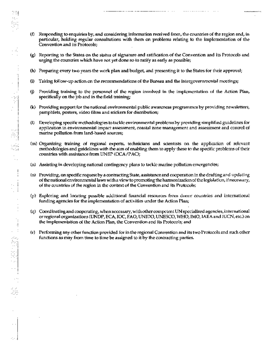(f) Responding to enquiries by, and considering information received from, the countries of the region and, in particular, holding regular consultations with them on problems relating to the implementation of the Convention and its Protocols;

75

 $\mathcal{A}_1$ 

P

E)

 $\overline{\phantom{a}}$ 

÷

f.

ŀ

- (g) Reporting to the States on the status of signature and ratification of the Convention and its Protocols and urging the countries which have not yet done so to ratify as early as possible;
- (h) Preparing every two years the work plan and budget, and presenting it to the States for their approval;
- Taking follow-up action on the recommendations of the Bureau and the intergovernmental meetings;  $\ddot{\mathbf{u}}$
- Providing training to the personnel of the region involved in the implementation of the Action Plan,  $\langle j \rangle$ specifically on the job and in the field training;
- (k) Providing support for the national environmental public awareness programmes by providing newsletters, pamphlets, posters, video films and stickers for distribution;
- (I) Developing specific methodologies to tackle environmental problems by providing simplified guidelines for application in environmental impact assessment, coastal zone management and assessment and control of marine pollution from land-based sources;
- (m) Organizing training of regional experts, technicians and scientists on the application of relevant methodologies and guidelines with the aim of enabling them to apply these to the specific problems of their countries with assistance from UNEP (OCA/PAC);
- (n) Assisting in developing national contingency plans to tackle marine pollution emergencies;
- (o) Providing, on specific request by a contracting State, assistance and cooperation in the drafting and updating of the national environmental laws with a view to promoting the harmonization of the legislation, if necessary, of the countries of the region in the context of the Convention and its Protocols;
- (p) Exploring and locating possible additional financial resources from donor countries and international funding agencies for the implementation of activities under the Action Plan;
- (q) Coordinating and cooperating, when necessary, with other competent UN specialized agencies, international or regional organizations (UNDP, ECA, IOC, FAO, UNIDO, UNESCO, WHO, IMO, IAEA and IUCN, etc.) on the implementation of the Action Plan, the Convention and its Protocols; and
- (r) Performing any other function provided for in the regional Convention and its two Protocols and such other functions as may from time to time be assigned to it by the contracting parties.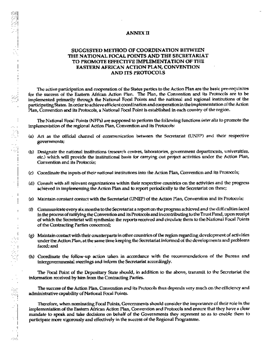## ANNEX II

# SUGGESTED METHOD OF COORDINATION BETWEEN THE NATIONAL FOCAL POINTS AND THE SECRETARIAT TO PROMOTE EFFECTIVE IMPLEMENTATION OF THE **EASTERN AFRICAN ACTION PLAN, CONVENTION** AND ITS PROTOCOLS

The active participation and cooperation of the States parties to the Action Plan are the basic pre-requisites for the success of the Eastern African Action Pian. The Plan, the Convention and its Protocols are to be implemented primarily through the National Focal Points and the national and regional institutions of the participating States. In order to achieve efficient coordination and cooperation in the implementation of the Action Plan, Convention and its Protocols, a National Focal Point is established in each country of the region.

The National Focal Points (NFPs) are supposed to perform the following functions inter alia to promote the implementation of the regional Action Plan, Convention and its Protocols:

- (a) Act as the official channel of communication between the Secretariat (UNEP) and their respective governments;
- (b) Designate the national institutions (research centres, laboratories, government departments, universities, etc.) which will provide the institutional basis for carrying out project activities under the Action Plan, Convention and its Protocols;
- (c) Coordinate the inputs of their national institutions into the Action Plan, Convention and its Protocols;
- (d) Consult with all relevant organizations within their respective countries on the activities and the progress achieved in implementing the Action Plan and to report periodically to the Secretariat on these;
- (e) Maintain constant contact with the Secretariat (UNEP) of the Action Plan, Convention and its Protocols;
- (f) Communicate every six months to the Secretariat a report on the progress achieved and the difficulties faced in the process of ratifying the Convention and its Protocols and in contributing to the Trust Fund, upon receipt of which the Secretariat will synthesize the reports received and circulate them to the National Focal Points of the Contracting Parties concerned;
- (g) Maintain contact with their counterparts in other countries of the region regarding development of activities under the Action Plan, at the same time keeping the Secretariat informed of the developments and problems faced: and
- (h) Coordinate the follow-up action taken in accordance with the recommendations of the Bureau and intergovernmental meetings and inform the Secretariat accordingly.

The Focal Point of the Depositary State should, in addition to the above, transmit to the Secretariat the information received by him from the Contracting Parties.

The success of the Action Plan, Convention and its Protocols thus depends very much on the efficiency and administrative capability of National Focal Points.

Therefore, when nominating Focal Points, Governments should consider the importance of their role in the implementation of the Eastern African Action Plan, Convention and Protocols and ensure that they have a clear mandate to speak and take decisions on behalf of the Governments they represent so as to enable them to participate more vigorously and effectively in the success of the Regional Programme.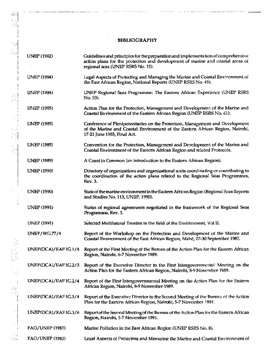## **BIBLIOGRAPHY**

òд,

ete p

(高) 2005年

**UNEP (1982)** Guidelines and principles for the preparation and implementation of comprehensive action plans for the protection and development of marine and coastal areas of regional scas (UNEP RSRS No. 15). Legal Aspects of Protecting and Managing the Marine and Coastal Environment of **UNEP (1984)** the East African Region, National Reports (UNEP RSRS No. 49). **UNEP (1984)** UNEP Regional Seas Programme: The Eastern African Experience (UNEP RSRS No. 53). **UNEP (1985)** Action Plan for the Protection, Management and Development of the Marine and Coastal Environment of the Eastern African Region (UNEP RSRS No. 61). **UNEP (1985)** Conference of Plenipotentiaries on the Protection, Management and Development of the Marine and Coastal Environment of the Eastern African Region, Nairobi, 17-21 June 1985, Final Act. **UNEP** (1985) Convention for the Protection, Management and Development of the Marine and Coastal Environment of the Eastern African Region and related Protocols. **UNEP (1989)** A Coast in Common (an introduction to the Eastern African Region). **UNEP (1990)** Directory of organizations and organizational units coordinating or contributing to the coordination of the action plans related to the Regional Seas Programmes, Rev. 3. **UNEP (1990)** State of the marine environment in the Eastern African Region (Regional Scas Reports and Studies No. 113, UNEP, 1990). **UNEP (1991)** Status of regional agreements negotiated in the framework of the Regional Seas Programme, Rev. 3. **UNEP (1991)** Selected Multilateral Treaties in the field of the Environment, Vol II. **UNEP/WG.77/4** Report of the Workshop on the Protection and Development of the Marine and Coastal Environment of the East African Region, Mahé, 27-30 September 1982. UNEP(OCA)/EAFIG.1/4 Report of the First Meeting of the Bureau of the Action Plan for the Eastern African Region, Nairobi, 6-7 November 1989. UNEP(OCA)/EAFIG.2/3 Report of the Executive Director to the First Intergovernmental Meeting on the Action Plan for the Eastern African Region, Nairobi, 8-9 November 1989.  $UNEP(OCA)/EAFIG.2/4$ Report of the First Intergovernmental Meeting on the Action Plan for the Eastern African Region, Nairobi, 8-9 November 1989. UNEP(OCA)/EAFIG.3/4 Report of the Executive Director to the Second Meeting of the Bureau of the Action Plan for the Eastern African Region, Nairobi, 5-7 November 1991.  $UNEP(OCA)/EAFIG.3/6$ Report of the Second Meeting of the Bureau of the Action Plan for the Eastern African Region, Nairobi, 5-7 November 1991. **FAO/UNEP (1982)** Marine Pollution in the East African Region (UNEP RSRS No. 8). FAO/UNEP (1983) Legal Aspects of Protecting and Managing the Marine and Coastal Environment of